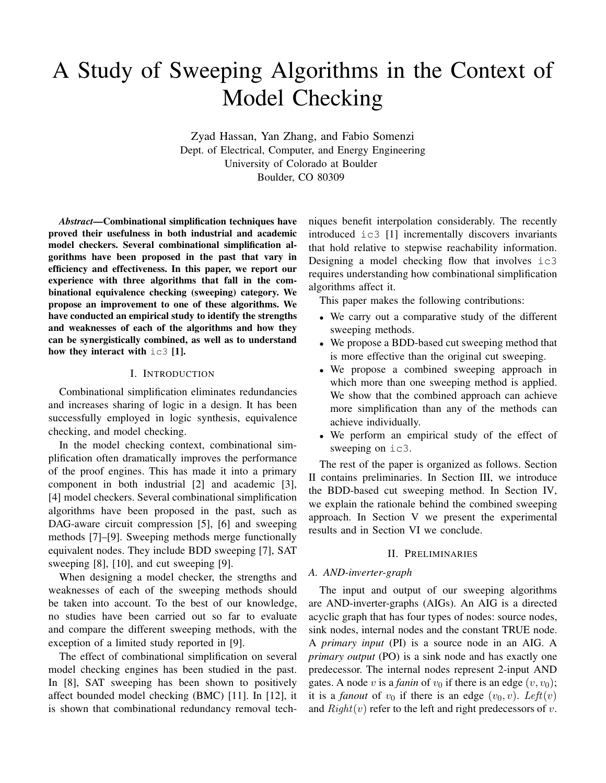# A Study of Sweeping Algorithms in the Context of Model Checking

Zyad Hassan, Yan Zhang, and Fabio Somenzi Dept. of Electrical, Computer, and Energy Engineering University of Colorado at Boulder Boulder, CO 80309

*Abstract***—Combinational simplification techniques have proved their usefulness in both industrial and academic model checkers. Several combinational simplification algorithms have been proposed in the past that vary in efficiency and effectiveness. In this paper, we report our experience with three algorithms that fall in the combinational equivalence checking (sweeping) category. We propose an improvement to one of these algorithms. We have conducted an empirical study to identify the strengths and weaknesses of each of the algorithms and how they can be synergistically combined, as well as to understand how they interact with** ic3 **[1].**

## I. INTRODUCTION

Combinational simplification eliminates redundancies and increases sharing of logic in a design. It has been successfully employed in logic synthesis, equivalence checking, and model checking.

In the model checking context, combinational simplification often dramatically improves the performance of the proof engines. This has made it into a primary component in both industrial [2] and academic [3], [4] model checkers. Several combinational simplification algorithms have been proposed in the past, such as DAG-aware circuit compression [5], [6] and sweeping methods [7]–[9]. Sweeping methods merge functionally equivalent nodes. They include BDD sweeping [7], SAT sweeping [8], [10], and cut sweeping [9].

When designing a model checker, the strengths and weaknesses of each of the sweeping methods should be taken into account. To the best of our knowledge, no studies have been carried out so far to evaluate and compare the different sweeping methods, with the exception of a limited study reported in [9].

The effect of combinational simplification on several model checking engines has been studied in the past. In [8], SAT sweeping has been shown to positively affect bounded model checking (BMC) [11]. In [12], it is shown that combinational redundancy removal tech-

niques benefit interpolation considerably. The recently introduced ic3 [1] incrementally discovers invariants that hold relative to stepwise reachability information. Designing a model checking flow that involves ic3 requires understanding how combinational simplification algorithms affect it.

This paper makes the following contributions:

- We carry out a comparative study of the different sweeping methods.
- We propose a BDD-based cut sweeping method that is more effective than the original cut sweeping.
- We propose a combined sweeping approach in which more than one sweeping method is applied. We show that the combined approach can achieve more simplification than any of the methods can achieve individually.
- We perform an empirical study of the effect of sweeping on  $i \in 3$ .

The rest of the paper is organized as follows. Section II contains preliminaries. In Section III, we introduce the BDD-based cut sweeping method. In Section IV, we explain the rationale behind the combined sweeping approach. In Section V we present the experimental results and in Section VI we conclude.

## II. PRELIMINARIES

### *A. AND-inverter-graph*

The input and output of our sweeping algorithms are AND-inverter-graphs (AIGs). An AIG is a directed acyclic graph that has four types of nodes: source nodes, sink nodes, internal nodes and the constant TRUE node. A *primary input* (PI) is a source node in an AIG. A *primary output* (PO) is a sink node and has exactly one predecessor. The internal nodes represent 2-input AND gates. A node v is a *fanin* of  $v_0$  if there is an edge  $(v, v_0)$ ; it is a *fanout* of  $v_0$  if there is an edge  $(v_0, v)$ . Left $(v)$ and  $Right(v)$  refer to the left and right predecessors of v.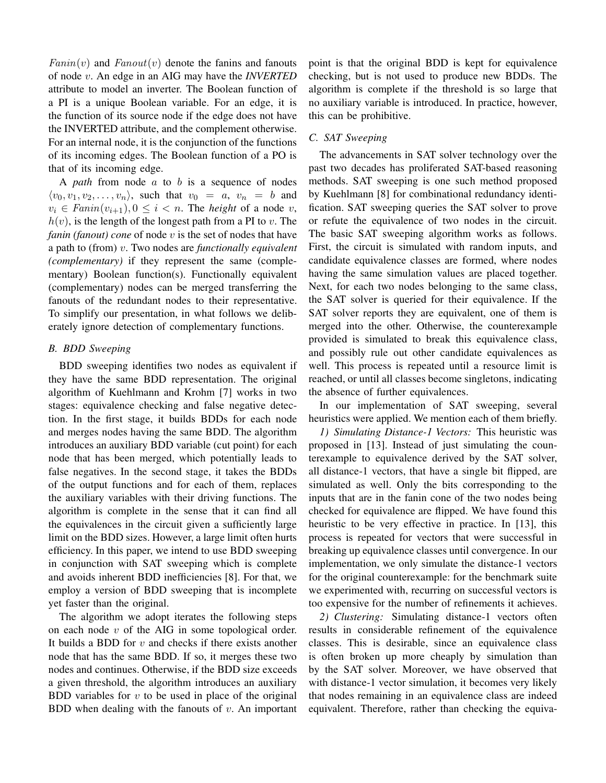$Fanniv)$  and  $Fanout(v)$  denote the fanins and fanouts of node v. An edge in an AIG may have the *INVERTED* attribute to model an inverter. The Boolean function of a PI is a unique Boolean variable. For an edge, it is the function of its source node if the edge does not have the INVERTED attribute, and the complement otherwise. For an internal node, it is the conjunction of the functions of its incoming edges. The Boolean function of a PO is that of its incoming edge.

A *path* from node a to b is a sequence of nodes  $\langle v_0, v_1, v_2, \ldots, v_n \rangle$ , such that  $v_0 = a, v_n = b$  and  $v_i \in \text{Fann}(v_{i+1}), 0 \leq i < n$ . The *height* of a node v,  $h(v)$ , is the length of the longest path from a PI to v. The *fanin (fanout) cone* of node v is the set of nodes that have a path to (from) v. Two nodes are *functionally equivalent (complementary)* if they represent the same (complementary) Boolean function(s). Functionally equivalent (complementary) nodes can be merged transferring the fanouts of the redundant nodes to their representative. To simplify our presentation, in what follows we deliberately ignore detection of complementary functions.

# *B. BDD Sweeping*

BDD sweeping identifies two nodes as equivalent if they have the same BDD representation. The original algorithm of Kuehlmann and Krohm [7] works in two stages: equivalence checking and false negative detection. In the first stage, it builds BDDs for each node and merges nodes having the same BDD. The algorithm introduces an auxiliary BDD variable (cut point) for each node that has been merged, which potentially leads to false negatives. In the second stage, it takes the BDDs of the output functions and for each of them, replaces the auxiliary variables with their driving functions. The algorithm is complete in the sense that it can find all the equivalences in the circuit given a sufficiently large limit on the BDD sizes. However, a large limit often hurts efficiency. In this paper, we intend to use BDD sweeping in conjunction with SAT sweeping which is complete and avoids inherent BDD inefficiencies [8]. For that, we employ a version of BDD sweeping that is incomplete yet faster than the original.

The algorithm we adopt iterates the following steps on each node  $v$  of the AIG in some topological order. It builds a BDD for  $v$  and checks if there exists another node that has the same BDD. If so, it merges these two nodes and continues. Otherwise, if the BDD size exceeds a given threshold, the algorithm introduces an auxiliary BDD variables for  $v$  to be used in place of the original BDD when dealing with the fanouts of  $v$ . An important point is that the original BDD is kept for equivalence checking, but is not used to produce new BDDs. The algorithm is complete if the threshold is so large that no auxiliary variable is introduced. In practice, however, this can be prohibitive.

## *C. SAT Sweeping*

The advancements in SAT solver technology over the past two decades has proliferated SAT-based reasoning methods. SAT sweeping is one such method proposed by Kuehlmann [8] for combinational redundancy identification. SAT sweeping queries the SAT solver to prove or refute the equivalence of two nodes in the circuit. The basic SAT sweeping algorithm works as follows. First, the circuit is simulated with random inputs, and candidate equivalence classes are formed, where nodes having the same simulation values are placed together. Next, for each two nodes belonging to the same class, the SAT solver is queried for their equivalence. If the SAT solver reports they are equivalent, one of them is merged into the other. Otherwise, the counterexample provided is simulated to break this equivalence class, and possibly rule out other candidate equivalences as well. This process is repeated until a resource limit is reached, or until all classes become singletons, indicating the absence of further equivalences.

In our implementation of SAT sweeping, several heuristics were applied. We mention each of them briefly.

*1) Simulating Distance-1 Vectors:* This heuristic was proposed in [13]. Instead of just simulating the counterexample to equivalence derived by the SAT solver, all distance-1 vectors, that have a single bit flipped, are simulated as well. Only the bits corresponding to the inputs that are in the fanin cone of the two nodes being checked for equivalence are flipped. We have found this heuristic to be very effective in practice. In [13], this process is repeated for vectors that were successful in breaking up equivalence classes until convergence. In our implementation, we only simulate the distance-1 vectors for the original counterexample: for the benchmark suite we experimented with, recurring on successful vectors is too expensive for the number of refinements it achieves.

*2) Clustering:* Simulating distance-1 vectors often results in considerable refinement of the equivalence classes. This is desirable, since an equivalence class is often broken up more cheaply by simulation than by the SAT solver. Moreover, we have observed that with distance-1 vector simulation, it becomes very likely that nodes remaining in an equivalence class are indeed equivalent. Therefore, rather than checking the equiva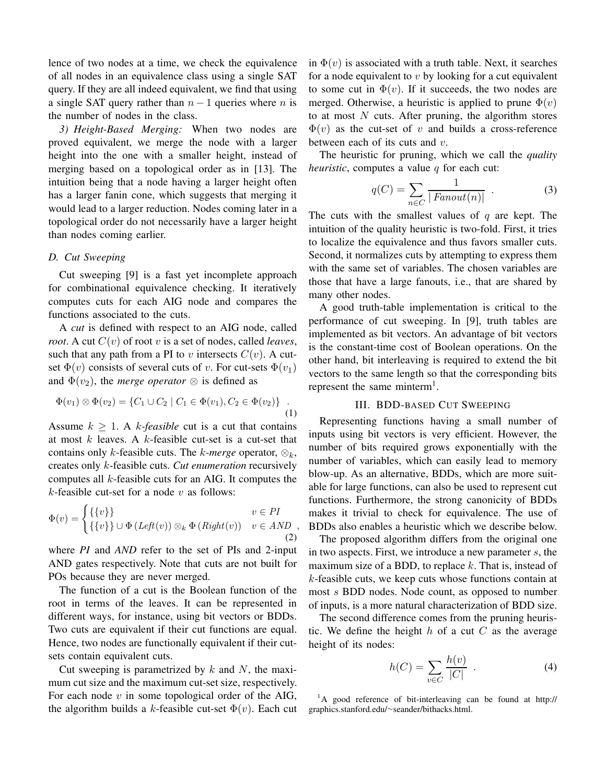lence of two nodes at a time, we check the equivalence of all nodes in an equivalence class using a single SAT query. If they are all indeed equivalent, we find that using a single SAT query rather than  $n - 1$  queries where n is the number of nodes in the class.

*3) Height-Based Merging:* When two nodes are proved equivalent, we merge the node with a larger height into the one with a smaller height, instead of merging based on a topological order as in [13]. The intuition being that a node having a larger height often has a larger fanin cone, which suggests that merging it would lead to a larger reduction. Nodes coming later in a topological order do not necessarily have a larger height than nodes coming earlier.

#### *D. Cut Sweeping*

Cut sweeping [9] is a fast yet incomplete approach for combinational equivalence checking. It iteratively computes cuts for each AIG node and compares the functions associated to the cuts.

A *cut* is defined with respect to an AIG node, called *root*. A cut  $C(v)$  of root v is a set of nodes, called *leaves*, such that any path from a PI to v intersects  $C(v)$ . A cutset  $\Phi(v)$  consists of several cuts of v. For cut-sets  $\Phi(v_1)$ and  $\Phi(v_2)$ , the *merge operator*  $\otimes$  is defined as

$$
\Phi(v_1) \otimes \Phi(v_2) = \{C_1 \cup C_2 \mid C_1 \in \Phi(v_1), C_2 \in \Phi(v_2)\} \quad .
$$
\n(1)

Assume  $k \geq 1$ . A *k-feasible* cut is a cut that contains at most  $k$  leaves. A  $k$ -feasible cut-set is a cut-set that contains only k-feasible cuts. The k-merge operator,  $\otimes_k$ , creates only k-feasible cuts. *Cut enumeration* recursively computes all k-feasible cuts for an AIG. It computes the  $k$ -feasible cut-set for a node  $v$  as follows:

$$
\Phi(v) = \begin{cases} \{\{v\}\} & v \in PI \\ \{\{v\}\} \cup \Phi\left(Left(v)\right) \otimes_k \Phi\left(Right(v)\right) & v \in AND \\ (2) & \end{cases}
$$

where *PI* and *AND* refer to the set of PIs and 2-input AND gates respectively. Note that cuts are not built for POs because they are never merged.

The function of a cut is the Boolean function of the root in terms of the leaves. It can be represented in different ways, for instance, using bit vectors or BDDs. Two cuts are equivalent if their cut functions are equal. Hence, two nodes are functionally equivalent if their cutsets contain equivalent cuts.

Cut sweeping is parametrized by  $k$  and  $N$ , the maximum cut size and the maximum cut-set size, respectively. For each node  $v$  in some topological order of the AIG, the algorithm builds a k-feasible cut-set  $\Phi(v)$ . Each cut in  $\Phi(v)$  is associated with a truth table. Next, it searches for a node equivalent to  $v$  by looking for a cut equivalent to some cut in  $\Phi(v)$ . If it succeeds, the two nodes are merged. Otherwise, a heuristic is applied to prune  $\Phi(v)$ to at most  $N$  cuts. After pruning, the algorithm stores  $\Phi(v)$  as the cut-set of v and builds a cross-reference between each of its cuts and  $v$ .

The heuristic for pruning, which we call the *quality heuristic*, computes a value  $q$  for each cut:

$$
q(C) = \sum_{n \in C} \frac{1}{|Fanout(n)|} \tag{3}
$$

The cuts with the smallest values of  $q$  are kept. The intuition of the quality heuristic is two-fold. First, it tries to localize the equivalence and thus favors smaller cuts. Second, it normalizes cuts by attempting to express them with the same set of variables. The chosen variables are those that have a large fanouts, i.e., that are shared by many other nodes.

A good truth-table implementation is critical to the performance of cut sweeping. In [9], truth tables are implemented as bit vectors. An advantage of bit vectors is the constant-time cost of Boolean operations. On the other hand, bit interleaving is required to extend the bit vectors to the same length so that the corresponding bits represent the same minterm<sup>1</sup>.

## III. BDD-BASED CUT SWEEPING

Representing functions having a small number of inputs using bit vectors is very efficient. However, the number of bits required grows exponentially with the number of variables, which can easily lead to memory blow-up. As an alternative, BDDs, which are more suitable for large functions, can also be used to represent cut functions. Furthermore, the strong canonicity of BDDs makes it trivial to check for equivalence. The use of BDDs also enables a heuristic which we describe below.

The proposed algorithm differs from the original one in two aspects. First, we introduce a new parameter s, the maximum size of a BDD, to replace  $k$ . That is, instead of k-feasible cuts, we keep cuts whose functions contain at most s BDD nodes. Node count, as opposed to number of inputs, is a more natural characterization of BDD size.

The second difference comes from the pruning heuristic. We define the height  $h$  of a cut  $C$  as the average height of its nodes:

$$
h(C) = \sum_{v \in C} \frac{h(v)}{|C|} \tag{4}
$$

<sup>1</sup>A good reference of bit-interleaving can be found at http:// graphics.stanford.edu/<sup>∼</sup>seander/bithacks.html.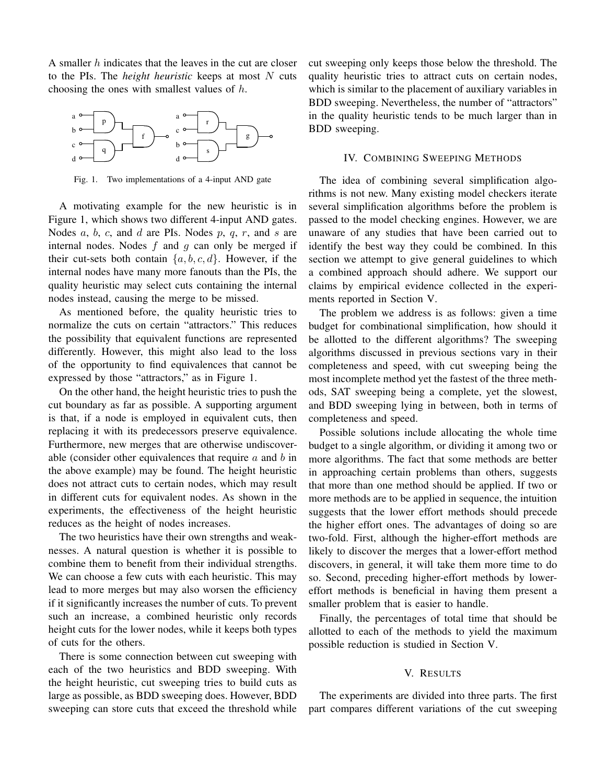A smaller  $h$  indicates that the leaves in the cut are closer to the PIs. The *height heuristic* keeps at most N cuts choosing the ones with smallest values of h.



Fig. 1. Two implementations of a 4-input AND gate

A motivating example for the new heuristic is in Figure 1, which shows two different 4-input AND gates. Nodes  $a, b, c$ , and  $d$  are PIs. Nodes  $p, q, r$ , and  $s$  are internal nodes. Nodes  $f$  and  $g$  can only be merged if their cut-sets both contain  $\{a, b, c, d\}$ . However, if the internal nodes have many more fanouts than the PIs, the quality heuristic may select cuts containing the internal nodes instead, causing the merge to be missed.

As mentioned before, the quality heuristic tries to normalize the cuts on certain "attractors." This reduces the possibility that equivalent functions are represented differently. However, this might also lead to the loss of the opportunity to find equivalences that cannot be expressed by those "attractors," as in Figure 1.

On the other hand, the height heuristic tries to push the cut boundary as far as possible. A supporting argument is that, if a node is employed in equivalent cuts, then replacing it with its predecessors preserve equivalence. Furthermore, new merges that are otherwise undiscoverable (consider other equivalences that require  $a$  and  $b$  in the above example) may be found. The height heuristic does not attract cuts to certain nodes, which may result in different cuts for equivalent nodes. As shown in the experiments, the effectiveness of the height heuristic reduces as the height of nodes increases.

The two heuristics have their own strengths and weaknesses. A natural question is whether it is possible to combine them to benefit from their individual strengths. We can choose a few cuts with each heuristic. This may lead to more merges but may also worsen the efficiency if it significantly increases the number of cuts. To prevent such an increase, a combined heuristic only records height cuts for the lower nodes, while it keeps both types of cuts for the others.

There is some connection between cut sweeping with each of the two heuristics and BDD sweeping. With the height heuristic, cut sweeping tries to build cuts as large as possible, as BDD sweeping does. However, BDD sweeping can store cuts that exceed the threshold while cut sweeping only keeps those below the threshold. The quality heuristic tries to attract cuts on certain nodes, which is similar to the placement of auxiliary variables in BDD sweeping. Nevertheless, the number of "attractors" in the quality heuristic tends to be much larger than in BDD sweeping.

# IV. COMBINING SWEEPING METHODS

The idea of combining several simplification algorithms is not new. Many existing model checkers iterate several simplification algorithms before the problem is passed to the model checking engines. However, we are unaware of any studies that have been carried out to identify the best way they could be combined. In this section we attempt to give general guidelines to which a combined approach should adhere. We support our claims by empirical evidence collected in the experiments reported in Section V.

The problem we address is as follows: given a time budget for combinational simplification, how should it be allotted to the different algorithms? The sweeping algorithms discussed in previous sections vary in their completeness and speed, with cut sweeping being the most incomplete method yet the fastest of the three methods, SAT sweeping being a complete, yet the slowest, and BDD sweeping lying in between, both in terms of completeness and speed.

Possible solutions include allocating the whole time budget to a single algorithm, or dividing it among two or more algorithms. The fact that some methods are better in approaching certain problems than others, suggests that more than one method should be applied. If two or more methods are to be applied in sequence, the intuition suggests that the lower effort methods should precede the higher effort ones. The advantages of doing so are two-fold. First, although the higher-effort methods are likely to discover the merges that a lower-effort method discovers, in general, it will take them more time to do so. Second, preceding higher-effort methods by lowereffort methods is beneficial in having them present a smaller problem that is easier to handle.

Finally, the percentages of total time that should be allotted to each of the methods to yield the maximum possible reduction is studied in Section V.

## V. RESULTS

The experiments are divided into three parts. The first part compares different variations of the cut sweeping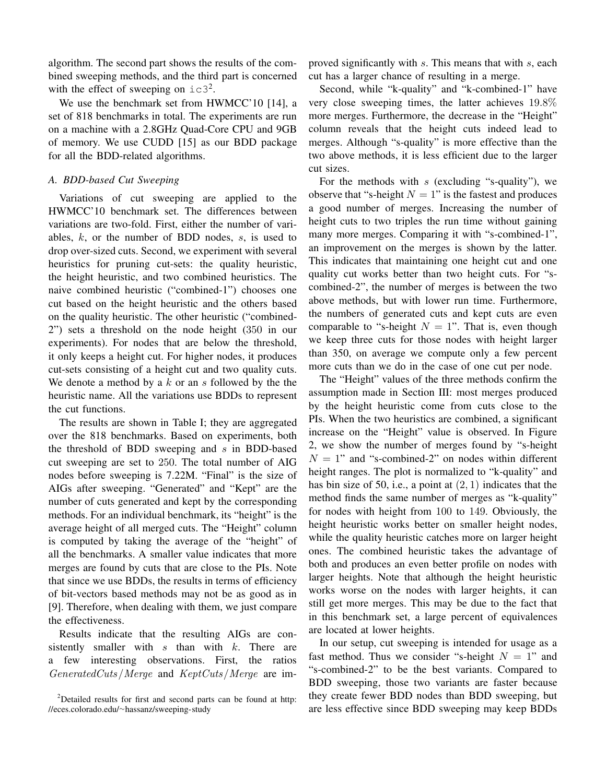algorithm. The second part shows the results of the combined sweeping methods, and the third part is concerned with the effect of sweeping on  $\text{ic}3^2$ .

We use the benchmark set from HWMCC'10 [14], a set of 818 benchmarks in total. The experiments are run on a machine with a 2.8GHz Quad-Core CPU and 9GB of memory. We use CUDD [15] as our BDD package for all the BDD-related algorithms.

## *A. BDD-based Cut Sweeping*

Variations of cut sweeping are applied to the HWMCC'10 benchmark set. The differences between variations are two-fold. First, either the number of variables,  $k$ , or the number of BDD nodes,  $s$ , is used to drop over-sized cuts. Second, we experiment with several heuristics for pruning cut-sets: the quality heuristic, the height heuristic, and two combined heuristics. The naive combined heuristic ("combined-1") chooses one cut based on the height heuristic and the others based on the quality heuristic. The other heuristic ("combined-2") sets a threshold on the node height (350 in our experiments). For nodes that are below the threshold, it only keeps a height cut. For higher nodes, it produces cut-sets consisting of a height cut and two quality cuts. We denote a method by a  $k$  or an  $s$  followed by the the heuristic name. All the variations use BDDs to represent the cut functions.

The results are shown in Table I; they are aggregated over the 818 benchmarks. Based on experiments, both the threshold of BDD sweeping and  $s$  in BDD-based cut sweeping are set to 250. The total number of AIG nodes before sweeping is 7.22M. "Final" is the size of AIGs after sweeping. "Generated" and "Kept" are the number of cuts generated and kept by the corresponding methods. For an individual benchmark, its "height" is the average height of all merged cuts. The "Height" column is computed by taking the average of the "height" of all the benchmarks. A smaller value indicates that more merges are found by cuts that are close to the PIs. Note that since we use BDDs, the results in terms of efficiency of bit-vectors based methods may not be as good as in [9]. Therefore, when dealing with them, we just compare the effectiveness.

Results indicate that the resulting AIGs are consistently smaller with  $s$  than with  $k$ . There are a few interesting observations. First, the ratios GeneratedCuts/Merge and KeptCuts/Merge are improved significantly with s. This means that with s, each cut has a larger chance of resulting in a merge.

Second, while "k-quality" and "k-combined-1" have very close sweeping times, the latter achieves 19.8% more merges. Furthermore, the decrease in the "Height" column reveals that the height cuts indeed lead to merges. Although "s-quality" is more effective than the two above methods, it is less efficient due to the larger cut sizes.

For the methods with  $s$  (excluding "s-quality"), we observe that "s-height  $N = 1$ " is the fastest and produces a good number of merges. Increasing the number of height cuts to two triples the run time without gaining many more merges. Comparing it with "s-combined-1", an improvement on the merges is shown by the latter. This indicates that maintaining one height cut and one quality cut works better than two height cuts. For "scombined-2", the number of merges is between the two above methods, but with lower run time. Furthermore, the numbers of generated cuts and kept cuts are even comparable to "s-height  $N = 1$ ". That is, even though we keep three cuts for those nodes with height larger than 350, on average we compute only a few percent more cuts than we do in the case of one cut per node.

The "Height" values of the three methods confirm the assumption made in Section III: most merges produced by the height heuristic come from cuts close to the PIs. When the two heuristics are combined, a significant increase on the "Height" value is observed. In Figure 2, we show the number of merges found by "s-height  $N = 1$ " and "s-combined-2" on nodes within different height ranges. The plot is normalized to "k-quality" and has bin size of 50, i.e., a point at  $(2, 1)$  indicates that the method finds the same number of merges as "k-quality" for nodes with height from 100 to 149. Obviously, the height heuristic works better on smaller height nodes, while the quality heuristic catches more on larger height ones. The combined heuristic takes the advantage of both and produces an even better profile on nodes with larger heights. Note that although the height heuristic works worse on the nodes with larger heights, it can still get more merges. This may be due to the fact that in this benchmark set, a large percent of equivalences are located at lower heights.

In our setup, cut sweeping is intended for usage as a fast method. Thus we consider "s-height  $N = 1$ " and "s-combined-2" to be the best variants. Compared to BDD sweeping, those two variants are faster because they create fewer BDD nodes than BDD sweeping, but are less effective since BDD sweeping may keep BDDs

<sup>2</sup>Detailed results for first and second parts can be found at http: //eces.colorado.edu/<sup>∼</sup>hassanz/sweeping-study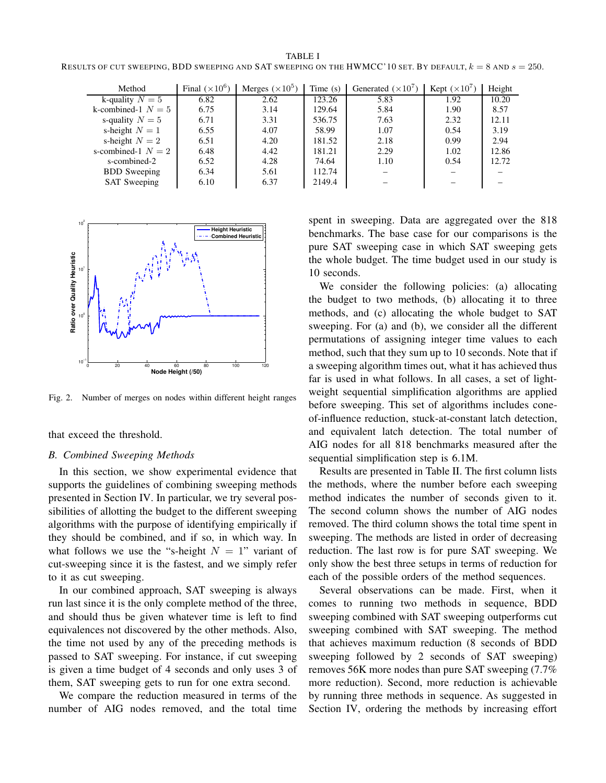TABLE I RESULTS OF CUT SWEEPING, BDD SWEEPING AND SAT SWEEPING ON THE HWMCC'10 SET. BY DEFAULT,  $k = 8$  and  $s = 250$ .

| Method               | Final $(\times 10^6)$ | Merges $(\times 10^5)$ | Time $(s)$ | Generated $(\times 10^7)$ | Kept $(\times 10^7)$ | Height |
|----------------------|-----------------------|------------------------|------------|---------------------------|----------------------|--------|
| k-quality $N = 5$    | 6.82                  | 2.62                   | 123.26     | 5.83                      | 1.92                 | 10.20  |
| k-combined-1 $N = 5$ | 6.75                  | 3.14                   | 129.64     | 5.84                      | 1.90                 | 8.57   |
| s-quality $N = 5$    | 6.71                  | 3.31                   | 536.75     | 7.63                      | 2.32                 | 12.11  |
| s-height $N = 1$     | 6.55                  | 4.07                   | 58.99      | 1.07                      | 0.54                 | 3.19   |
| s-height $N=2$       | 6.51                  | 4.20                   | 181.52     | 2.18                      | 0.99                 | 2.94   |
| s-combined-1 $N = 2$ | 6.48                  | 4.42                   | 181.21     | 2.29                      | 1.02                 | 12.86  |
| s-combined-2         | 6.52                  | 4.28                   | 74.64      | 1.10                      | 0.54                 | 12.72  |
| <b>BDD</b> Sweeping  | 6.34                  | 5.61                   | 112.74     |                           |                      |        |
| <b>SAT</b> Sweeping  | 6.10                  | 6.37                   | 2149.4     |                           |                      |        |



Fig. 2. Number of merges on nodes within different height ranges

that exceed the threshold.

## *B. Combined Sweeping Methods*

In this section, we show experimental evidence that supports the guidelines of combining sweeping methods presented in Section IV. In particular, we try several possibilities of allotting the budget to the different sweeping algorithms with the purpose of identifying empirically if they should be combined, and if so, in which way. In what follows we use the "s-height  $N = 1$ " variant of cut-sweeping since it is the fastest, and we simply refer to it as cut sweeping.

In our combined approach, SAT sweeping is always run last since it is the only complete method of the three, and should thus be given whatever time is left to find equivalences not discovered by the other methods. Also, the time not used by any of the preceding methods is passed to SAT sweeping. For instance, if cut sweeping is given a time budget of 4 seconds and only uses 3 of them, SAT sweeping gets to run for one extra second.

We compare the reduction measured in terms of the number of AIG nodes removed, and the total time

spent in sweeping. Data are aggregated over the 818 benchmarks. The base case for our comparisons is the pure SAT sweeping case in which SAT sweeping gets the whole budget. The time budget used in our study is 10 seconds.

We consider the following policies: (a) allocating the budget to two methods, (b) allocating it to three methods, and (c) allocating the whole budget to SAT sweeping. For (a) and (b), we consider all the different permutations of assigning integer time values to each method, such that they sum up to 10 seconds. Note that if a sweeping algorithm times out, what it has achieved thus far is used in what follows. In all cases, a set of lightweight sequential simplification algorithms are applied before sweeping. This set of algorithms includes coneof-influence reduction, stuck-at-constant latch detection, and equivalent latch detection. The total number of AIG nodes for all 818 benchmarks measured after the sequential simplification step is 6.1M.

Results are presented in Table II. The first column lists the methods, where the number before each sweeping method indicates the number of seconds given to it. The second column shows the number of AIG nodes removed. The third column shows the total time spent in sweeping. The methods are listed in order of decreasing reduction. The last row is for pure SAT sweeping. We only show the best three setups in terms of reduction for each of the possible orders of the method sequences.

Several observations can be made. First, when it comes to running two methods in sequence, BDD sweeping combined with SAT sweeping outperforms cut sweeping combined with SAT sweeping. The method that achieves maximum reduction (8 seconds of BDD sweeping followed by 2 seconds of SAT sweeping) removes 56K more nodes than pure SAT sweeping (7.7% more reduction). Second, more reduction is achievable by running three methods in sequence. As suggested in Section IV, ordering the methods by increasing effort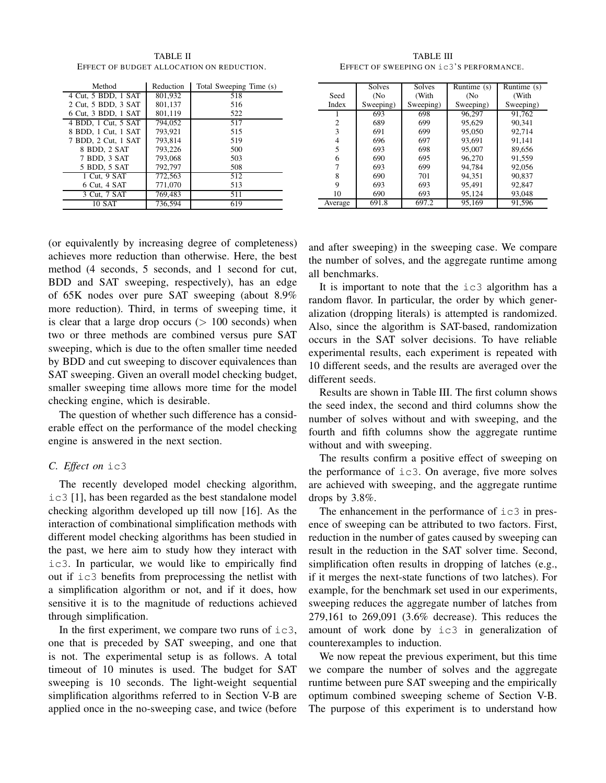Method Reduction Total Sweeping Time (s) 4 Cut, 5 BDD, 1 SAT 801,932 518<br>2 Cut, 5 BDD, 3 SAT 801,137 516 2 Cut, 5 BDD, 3 SAT 6 Cut, 3 BDD, 1 SAT 801,119 522 4 BDD, 1 Cut, 5 SAT | 794,052 | 517 8 BDD, 1 Cut, 1 SAT 793,921 515<br>7 BDD, 2 Cut, 1 SAT 793,814 519 7 BDD, 2 Cut, 1 SAT 793,814 519 8 BDD, 2 SAT 793,226 1 500 7 BDD, 3 SAT 793,068 503<br>5 BDD, 5 SAT 792,797 508 5 BDD, 5 SAT 1 Cut, 9 SAT 772,563 512<br>6 Cut, 4 SAT 771,070 513 6 Cut, 4 SAT 771,070 513 3 Cut, 7 SAT 769,483 511 10 SAT 736,594 619

TABLE II EFFECT OF BUDGET ALLOCATION ON REDUCTION.

(or equivalently by increasing degree of completeness) achieves more reduction than otherwise. Here, the best method (4 seconds, 5 seconds, and 1 second for cut, BDD and SAT sweeping, respectively), has an edge of 65K nodes over pure SAT sweeping (about 8.9% more reduction). Third, in terms of sweeping time, it is clear that a large drop occurs  $(> 100$  seconds) when two or three methods are combined versus pure SAT sweeping, which is due to the often smaller time needed by BDD and cut sweeping to discover equivalences than SAT sweeping. Given an overall model checking budget, smaller sweeping time allows more time for the model checking engine, which is desirable.

The question of whether such difference has a considerable effect on the performance of the model checking engine is answered in the next section.

#### *C. Effect on* ic3

The recently developed model checking algorithm, ic3 [1], has been regarded as the best standalone model checking algorithm developed up till now [16]. As the interaction of combinational simplification methods with different model checking algorithms has been studied in the past, we here aim to study how they interact with ic3. In particular, we would like to empirically find out if ic3 benefits from preprocessing the netlist with a simplification algorithm or not, and if it does, how sensitive it is to the magnitude of reductions achieved through simplification.

In the first experiment, we compare two runs of  $i \in 3$ , one that is preceded by SAT sweeping, and one that is not. The experimental setup is as follows. A total timeout of 10 minutes is used. The budget for SAT sweeping is 10 seconds. The light-weight sequential simplification algorithms referred to in Section V-B are applied once in the no-sweeping case, and twice (before

TABLE III EFFECT OF SWEEPING ON ic3'S PERFORMANCE.

|         | <b>Solves</b> | Solves    | Runtime (s) | Runtime (s) |
|---------|---------------|-----------|-------------|-------------|
| Seed    | (No           | (With     | (No         | (With       |
| Index   | Sweeping)     | Sweeping) | Sweeping)   | Sweeping)   |
|         | 693           | 698       | 96,297      | 91,762      |
| 2       | 689           | 699       | 95,629      | 90.341      |
| 3       | 691           | 699       | 95,050      | 92.714      |
| 4       | 696           | 697       | 93,691      | 91,141      |
| 5       | 693           | 698       | 95,007      | 89,656      |
| 6       | 690           | 695       | 96.270      | 91,559      |
| 7       | 693           | 699       | 94.784      | 92,056      |
| 8       | 690           | 701       | 94.351      | 90.837      |
| 9       | 693           | 693       | 95.491      | 92,847      |
| 10      | 690           | 693       | 95,124      | 93,048      |
| Average | 691.8         | 697.2     | 95,169      | 91.596      |

and after sweeping) in the sweeping case. We compare the number of solves, and the aggregate runtime among all benchmarks.

It is important to note that the ic3 algorithm has a random flavor. In particular, the order by which generalization (dropping literals) is attempted is randomized. Also, since the algorithm is SAT-based, randomization occurs in the SAT solver decisions. To have reliable experimental results, each experiment is repeated with 10 different seeds, and the results are averaged over the different seeds.

Results are shown in Table III. The first column shows the seed index, the second and third columns show the number of solves without and with sweeping, and the fourth and fifth columns show the aggregate runtime without and with sweeping.

The results confirm a positive effect of sweeping on the performance of ic3. On average, five more solves are achieved with sweeping, and the aggregate runtime drops by 3.8%.

The enhancement in the performance of  $i c 3$  in presence of sweeping can be attributed to two factors. First, reduction in the number of gates caused by sweeping can result in the reduction in the SAT solver time. Second, simplification often results in dropping of latches (e.g., if it merges the next-state functions of two latches). For example, for the benchmark set used in our experiments, sweeping reduces the aggregate number of latches from 279,161 to 269,091 (3.6% decrease). This reduces the amount of work done by ic3 in generalization of counterexamples to induction.

We now repeat the previous experiment, but this time we compare the number of solves and the aggregate runtime between pure SAT sweeping and the empirically optimum combined sweeping scheme of Section V-B. The purpose of this experiment is to understand how